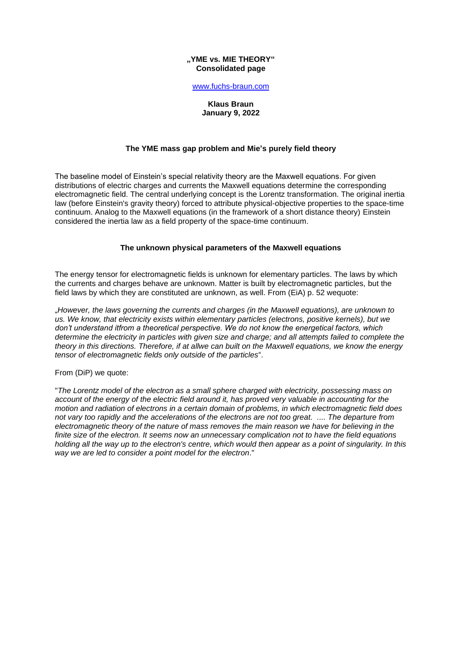#### **"YME vs. MIE THEORY" Consolidated page**

#### [www.fuchs-braun.com](http://www.fuchs-braun.com/)

## **Klaus Braun January 9, 2022**

# **The YME mass gap problem and Mie's purely field theory**

The baseline model of Einstein's special relativity theory are the Maxwell equations. For given distributions of electric charges and currents the Maxwell equations determine the corresponding electromagnetic field. The central underlying concept is the Lorentz transformation. The original inertia law (before Einstein's gravity theory) forced to attribute physical-objective properties to the space-time continuum. Analog to the Maxwell equations (in the framework of a short distance theory) Einstein considered the inertia law as a field property of the space-time continuum.

## **The unknown physical parameters of the Maxwell equations**

The energy tensor for electromagnetic fields is unknown for elementary particles. The laws by which the currents and charges behave are unknown. Matter is built by electromagnetic particles, but the field laws by which they are constituted are unknown, as well. From (EiA) p. 52 wequote:

"*However, the laws governing the currents and charges (in the Maxwell equations), are unknown to us. We know, that electricity exists within elementary particles (electrons, positive kernels), but we don't understand itfrom a theoretical perspective. We do not know the energetical factors, which determine the electricity in particles with given size and charge; and all attempts failed to complete the theory in this directions. Therefore, if at allwe can built on the Maxwell equations, we know the energy tensor of electromagnetic fields only outside of the particles*".

### From (DiP) we quote:

"*The Lorentz model of the electron as a small sphere charged with electricity, possessing mass on account of the energy of the electric field around it, has proved very valuable in accounting for the motion and radiation of electrons in a certain domain of problems, in which electromagnetic field does not vary too rapidly and the accelerations of the electrons are not too great. .... The departure from electromagnetic theory of the nature of mass removes the main reason we have for believing in the finite size of the electron. It seems now an unnecessary complication not to have the field equations holding all the way up to the electron's centre, which would then appear as a point of singularity. In this way we are led to consider a point model for the electron*."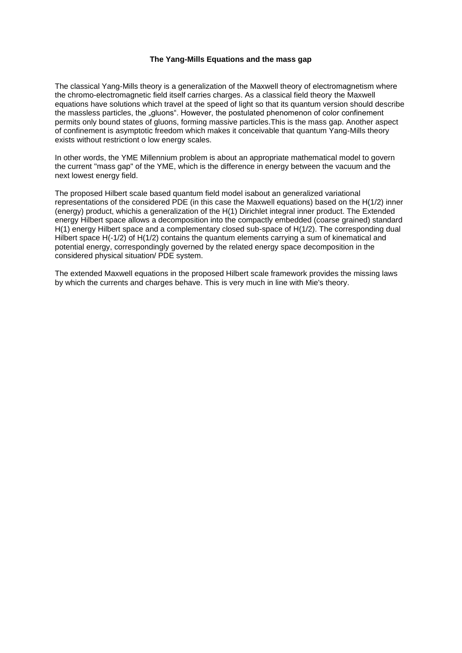## **The Yang-Mills Equations and the mass gap**

The classical Yang-Mills theory is a generalization of the Maxwell theory of electromagnetism where the chromo-electromagnetic field itself carries charges. As a classical field theory the Maxwell equations have solutions which travel at the speed of light so that its quantum version should describe the massless particles, the "gluons". However, the postulated phenomenon of color confinement permits only bound states of gluons, forming massive particles.This is the mass gap. Another aspect of confinement is asymptotic freedom which makes it conceivable that quantum Yang-Mills theory exists without restrictiont o low energy scales.

In other words, the YME Millennium problem is about an appropriate mathematical model to govern the current "mass gap" of the YME, which is the difference in energy between the vacuum and the next lowest energy field.

The proposed Hilbert scale based quantum field model isabout an generalized variational representations of the considered PDE (in this case the Maxwell equations) based on the H(1/2) inner (energy) product, whichis a generalization of the H(1) Dirichlet integral inner product. The Extended energy Hilbert space allows a decomposition into the compactly embedded (coarse grained) standard H(1) energy Hilbert space and a complementary closed sub-space of H(1/2). The corresponding dual Hilbert space H(-1/2) of H(1/2) contains the quantum elements carrying a sum of kinematical and potential energy, correspondingly governed by the related energy space decomposition in the considered physical situation/ PDE system.

The extended Maxwell equations in the proposed Hilbert scale framework provides the missing laws by which the currents and charges behave. This is very much in line with Mie's theory.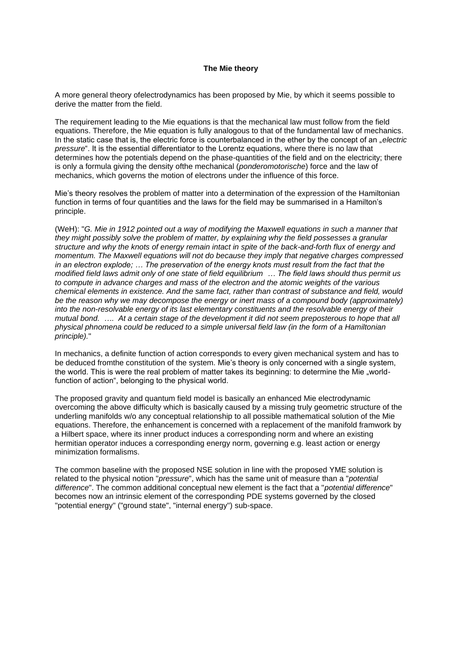## **The Mie theory**

A more general theory ofelectrodynamics has been proposed by Mie, by which it seems possible to derive the matter from the field.

The requirement leading to the Mie equations is that the mechanical law must follow from the field equations. Therefore, the Mie equation is fully analogous to that of the fundamental law of mechanics. In the static case that is, the electric force is counterbalanced in the ether by the concept of an "*electric pressure*". It is the essential differentiator to the Lorentz equations*,* where there is no law that determines how the potentials depend on the phase-quantities of the field and on the electricity; there is only a formula giving the density ofthe mechanical (*ponderomotorische*) force and the law of mechanics, which governs the motion of electrons under the influence of this force.

Mie's theory resolves the problem of matter into a determination of the expression of the Hamiltonian function in terms of four quantities and the laws for the field may be summarised in a Hamilton's principle.

(WeH): "*G. Mie in 1912 pointed out a way of modifying the Maxwell equations in such a manner that they might possibly solve the problem of matter, by explaining why the field possesses a granular structure and why the knots of energy remain intact in spite of the back-and-forth flux of energy and momentum. The Maxwell equations will not do because they imply that negative charges compressed in an electron explode; … The preservation of the energy knots must result from the fact that the modified field laws admit only of one state of field equilibrium … The field laws should thus permit us to compute in advance charges and mass of the electron and the atomic weights of the various chemical elements in existence. And the same fact, rather than contrast of substance and field, would*  be the reason why we may decompose the energy or inert mass of a compound body (approximately) *into the non-resolvable energy of its last elementary constituents and the resolvable energy of their mutual bond. …. At a certain stage of the development it did not seem preposterous to hope that all physical phnomena could be reduced to a simple universal field law (in the form of a Hamiltonian principle).*"

In mechanics, a definite function of action corresponds to every given mechanical system and has to be deduced fromthe constitution of the system. Mie's theory is only concerned with a single system, the world. This is were the real problem of matter takes its beginning: to determine the Mie "worldfunction of action", belonging to the physical world.

The proposed gravity and quantum field model is basically an enhanced Mie electrodynamic overcoming the above difficulty which is basically caused by a missing truly geometric structure of the underling manifolds w/o any conceptual relationship to all possible mathematical solution of the Mie equations. Therefore, the enhancement is concerned with a replacement of the manifold framwork by a Hilbert space, where its inner product induces a corresponding norm and where an existing hermitian operator induces a corresponding energy norm, governing e.g. least action or energy minimization formalisms.

The common baseline with the proposed NSE solution in line with the proposed YME solution is related to the physical notion "*pressure*", which has the same unit of measure than a "*potential difference*". The common additional conceptual new element is the fact that a "*potential difference*" becomes now an intrinsic element of the corresponding PDE systems governed by the closed "potential energy" ("ground state", "internal energy") sub-space.